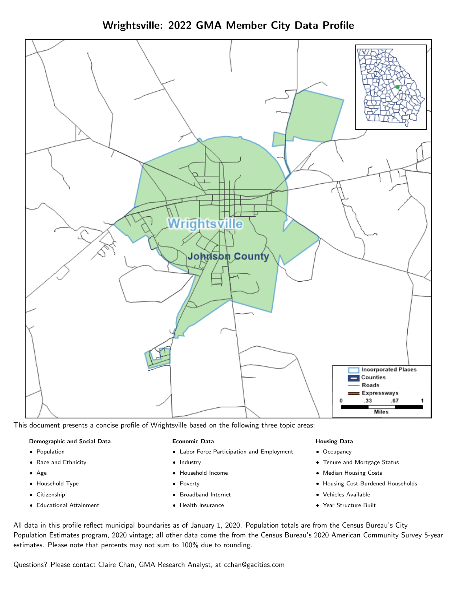



This document presents a concise profile of Wrightsville based on the following three topic areas:

#### Demographic and Social Data

- **•** Population
- Race and Ethnicity
- Age
- Household Type
- **Citizenship**
- Educational Attainment

#### Economic Data

- Labor Force Participation and Employment
- Industry
- Household Income
- Poverty
- Broadband Internet
- Health Insurance

#### Housing Data

- Occupancy
- Tenure and Mortgage Status
- Median Housing Costs
- Housing Cost-Burdened Households
- Vehicles Available
- Year Structure Built

All data in this profile reflect municipal boundaries as of January 1, 2020. Population totals are from the Census Bureau's City Population Estimates program, 2020 vintage; all other data come the from the Census Bureau's 2020 American Community Survey 5-year estimates. Please note that percents may not sum to 100% due to rounding.

Questions? Please contact Claire Chan, GMA Research Analyst, at [cchan@gacities.com.](mailto:cchan@gacities.com)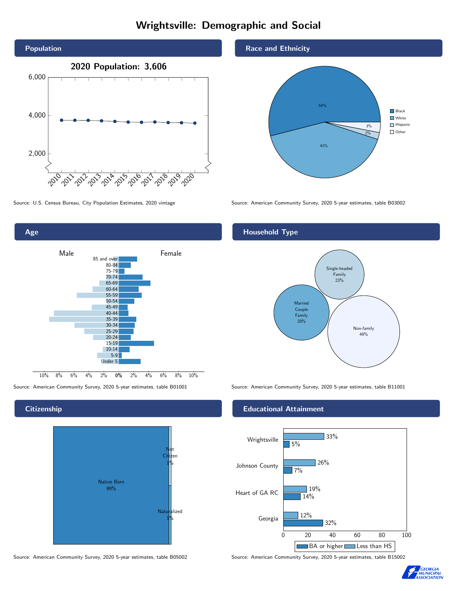# Wrightsville: Demographic and Social



0% 2% 4% 6% 8% 10% Male **Female** 10% 8% 6% 4% 2% 85 and over 80-84 75-79 70-74 65-69 60-64 55-59 50-54 45-49 40-44 35-39 30-34 25-29 20-24 15-19  $10-14$ 5-9 Under 5

## **Citizenship**

Age



Source: American Community Survey, 2020 5-year estimates, table B05002 Source: American Community Survey, 2020 5-year estimates, table B15002

### Race and Ethnicity



Source: U.S. Census Bureau, City Population Estimates, 2020 vintage Source: American Community Survey, 2020 5-year estimates, table B03002

## Household Type



Source: American Community Survey, 2020 5-year estimates, table B01001 Source: American Community Survey, 2020 5-year estimates, table B11001

#### Educational Attainment



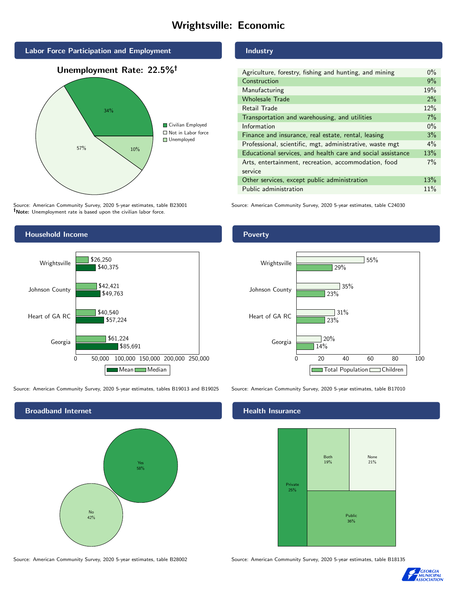# Wrightsville: Economic



Source: American Community Survey, 2020 5-year estimates, table B23001 Note: Unemployment rate is based upon the civilian labor force.

#### Industry

| Agriculture, forestry, fishing and hunting, and mining      | $0\%$ |
|-------------------------------------------------------------|-------|
| Construction                                                | 9%    |
| Manufacturing                                               | 19%   |
| <b>Wholesale Trade</b>                                      | 2%    |
| Retail Trade                                                | 12%   |
| Transportation and warehousing, and utilities               | 7%    |
| Information                                                 | $0\%$ |
| Finance and insurance, real estate, rental, leasing         | 3%    |
| Professional, scientific, mgt, administrative, waste mgt    | $4\%$ |
| Educational services, and health care and social assistance | 13%   |
| Arts, entertainment, recreation, accommodation, food        | 7%    |
| service                                                     |       |
| Other services, except public administration                | 13%   |
| Public administration                                       | 11%   |
|                                                             |       |

Source: American Community Survey, 2020 5-year estimates, table C24030



Source: American Community Survey, 2020 5-year estimates, tables B19013 and B19025 Source: American Community Survey, 2020 5-year estimates, table B17010

Broadband Internet No 42% Yes 58%

#### Health Insurance



Source: American Community Survey, 2020 5-year estimates, table B28002 Source: American Community Survey, 2020 5-year estimates, table B18135



#### **Poverty**